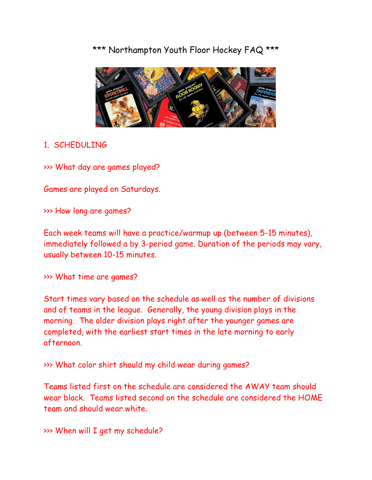# \*\*\* Northampton Youth Floor Hockey FAQ \*\*\*



### 1. SCHEDULING

>>> What day are games played?

Games are played on Saturdays.

>>> How long are games?

Each week teams will have a practice/warmup up (between 5-15 minutes), immediately followed a by 3-period game. Duration of the periods may vary, usually between 10-15 minutes.

>>> What time are games?

Start times vary based on the schedule as well as the number of divisions and of teams in the league. Generally, the young division plays in the morning. The older division plays right after the younger games are completed, with the earliest start times in the late morning to early afternoon.

>>> What color shirt should my child wear during games?

Teams listed first on the schedule are considered the AWAY team should wear black. Teams listed second on the schedule are considered the HOME team and should wear white.

>>> When will I get my schedule?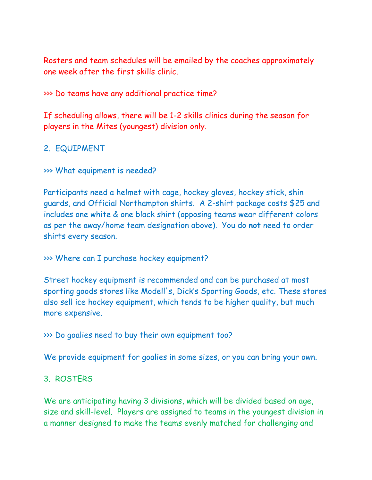Rosters and team schedules will be emailed by the coaches approximately one week after the first skills clinic.

>>> Do teams have any additional practice time?

If scheduling allows, there will be 1-2 skills clinics during the season for players in the Mites (youngest) division only.

#### 2. EQUIPMENT

>>> What equipment is needed?

Participants need a helmet with cage, hockey gloves, hockey stick, shin guards, and Official Northampton shirts. A 2-shirt package costs \$25 and includes one white & one black shirt (opposing teams wear different colors as per the away/home team designation above). You do **not** need to order shirts every season.

#### >>> Where can I purchase hockey equipment?

Street hockey equipment is recommended and can be purchased at most sporting goods stores like Modell's, Dick's Sporting Goods, etc. These stores also sell ice hockey equipment, which tends to be higher quality, but much more expensive.

>>> Do goalies need to buy their own equipment too?

We provide equipment for goalies in some sizes, or you can bring your own.

#### 3. ROSTERS

We are anticipating having 3 divisions, which will be divided based on age, size and skill-level. Players are assigned to teams in the youngest division in a manner designed to make the teams evenly matched for challenging and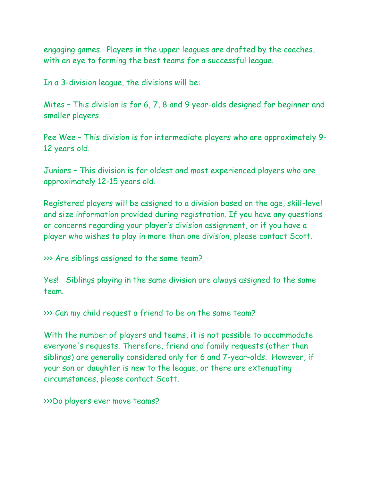engaging games. Players in the upper leagues are drafted by the coaches, with an eye to forming the best teams for a successful league.

In a 3-division league, the divisions will be:

Mites – This division is for 6, 7, 8 and 9 year-olds designed for beginner and smaller players.

Pee Wee – This division is for intermediate players who are approximately 9- 12 years old.

Juniors – This division is for oldest and most experienced players who are approximately 12-15 years old.

Registered players will be assigned to a division based on the age, skill-level and size information provided during registration. If you have any questions or concerns regarding your player's division assignment, or if you have a player who wishes to play in more than one division, please contact Scott.

>>> Are siblings assigned to the same team?

Yes! Siblings playing in the same division are always assigned to the same team.

>>> Can my child request a friend to be on the same team?

With the number of players and teams, it is not possible to accommodate everyone's requests. Therefore, friend and family requests (other than siblings) are generally considered only for 6 and 7-year-olds. However, if your son or daughter is new to the league, or there are extenuating circumstances, please contact Scott.

>>>Do players ever move teams?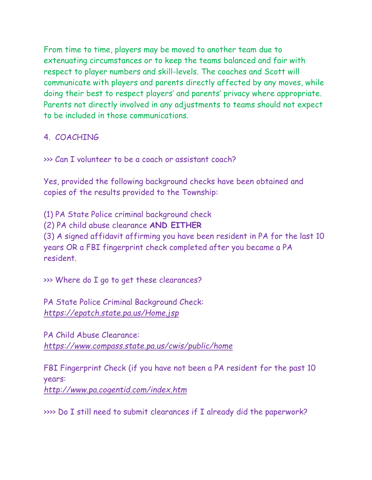From time to time, players may be moved to another team due to extenuating circumstances or to keep the teams balanced and fair with respect to player numbers and skill-levels. The coaches and Scott will communicate with players and parents directly affected by any moves, while doing their best to respect players' and parents' privacy where appropriate. Parents not directly involved in any adjustments to teams should not expect to be included in those communications.

## 4. COACHING

>>> Can I volunteer to be a coach or assistant coach?

Yes, provided the following background checks have been obtained and copies of the results provided to the Township:

(1) PA State Police criminal background check (2) PA child abuse clearance **AND EITHER** (3) A signed affidavit affirming you have been resident in PA for the last 10 years OR a FBI fingerprint check completed after you became a PA resident.

>>> Where do I go to get these clearances?

PA State Police Criminal Background Check: *<https://epatch.state.pa.us/Home.jsp>*

PA Child Abuse Clearance: *<https://www.compass.state.pa.us/cwis/public/home>*

FBI Fingerprint Check (if you have not been a PA resident for the past 10 years: *http://www.pa.cogentid.com/index.htm*

>>>> Do I still need to submit clearances if I already did the paperwork?